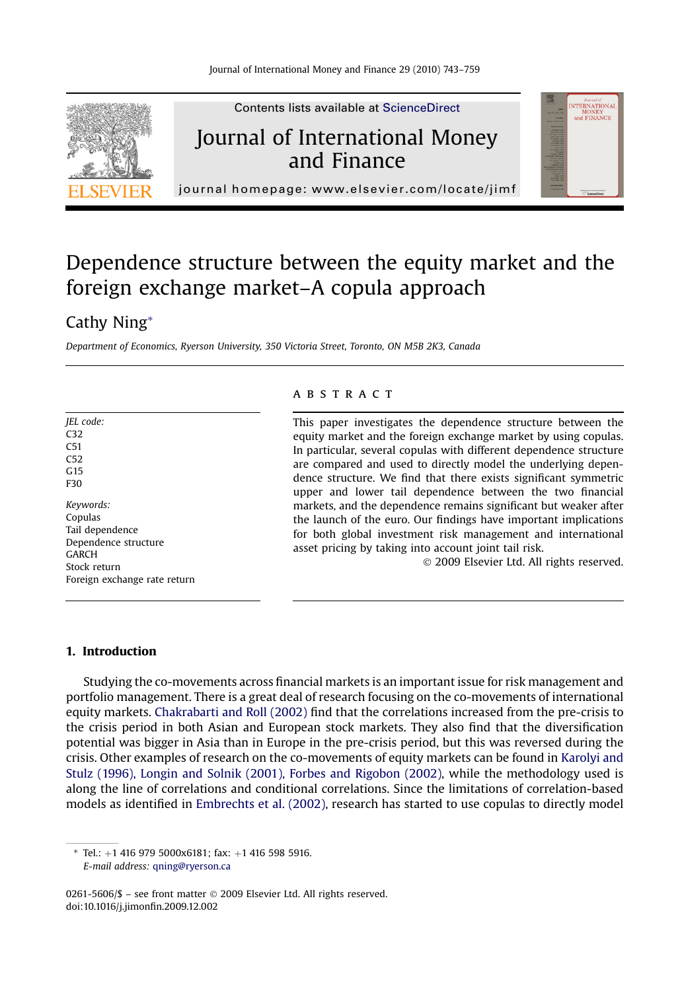

## Dependence structure between the equity market and the foreign exchange market–A copula approach

### Cathy Ning\*

Department of Economics, Ryerson University, 350 Victoria Street, Toronto, ON M5B 2K3, Canada

| <i><b>IEL</b></i> code:      |
|------------------------------|
| C <sub>32</sub>              |
| C <sub>51</sub>              |
| C <sub>52</sub>              |
| G15                          |
| F30                          |
|                              |
| Keywords:                    |
| Copulas                      |
| Tail dependence              |
| Dependence structure         |
| <b>GARCH</b>                 |
| Stock return                 |
| Foreign exchange rate return |

#### **ABSTRACT**

This paper investigates the dependence structure between the equity market and the foreign exchange market by using copulas. In particular, several copulas with different dependence structure are compared and used to directly model the underlying dependence structure. We find that there exists significant symmetric upper and lower tail dependence between the two financial markets, and the dependence remains significant but weaker after the launch of the euro. Our findings have important implications for both global investment risk management and international asset pricing by taking into account joint tail risk.

© 2009 Elsevier Ltd. All rights reserved.

#### 1. Introduction

Studying the co-movements across financial markets is an important issue for risk management and portfolio management. There is a great deal of research focusing on the co-movements of international equity markets. [Chakrabarti and Roll \(2002\)](#page--1-0) find that the correlations increased from the pre-crisis to the crisis period in both Asian and European stock markets. They also find that the diversification potential was bigger in Asia than in Europe in the pre-crisis period, but this was reversed during the crisis. Other examples of research on the co-movements of equity markets can be found in [Karolyi and](#page--1-0) [Stulz \(1996\), Longin and Solnik \(2001\), Forbes and Rigobon \(2002\)](#page--1-0), while the methodology used is along the line of correlations and conditional correlations. Since the limitations of correlation-based models as identified in [Embrechts et al. \(2002\)](#page--1-0), research has started to use copulas to directly model

E-mail address: [qning@ryerson.ca](mailto:qning@ryerson.ca)

0261-5606/\$ – see front matter © 2009 Elsevier Ltd. All rights reserved. doi:10.1016/j.jimonfin.2009.12.002

 $*$  Tel.: +1 416 979 5000x6181; fax: +1 416 598 5916.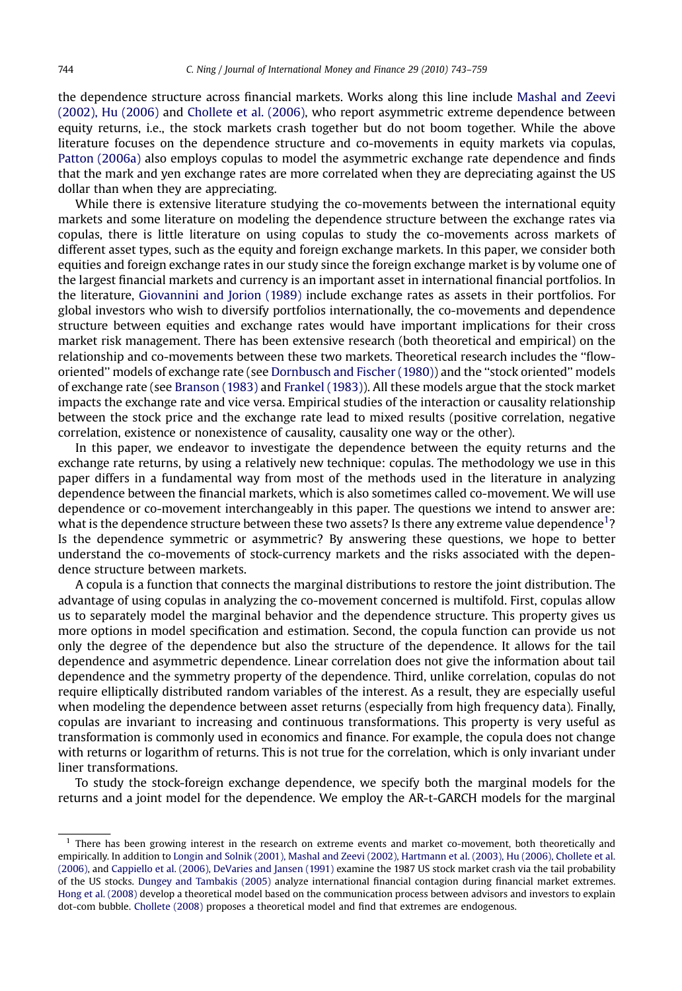the dependence structure across financial markets. Works along this line include [Mashal and Zeevi](#page--1-0) [\(2002\), Hu \(2006\)](#page--1-0) and [Chollete et al. \(2006\)](#page--1-0), who report asymmetric extreme dependence between equity returns, i.e., the stock markets crash together but do not boom together. While the above literature focuses on the dependence structure and co-movements in equity markets via copulas, [Patton \(2006a\)](#page--1-0) also employs copulas to model the asymmetric exchange rate dependence and finds that the mark and yen exchange rates are more correlated when they are depreciating against the US dollar than when they are appreciating.

While there is extensive literature studying the co-movements between the international equity markets and some literature on modeling the dependence structure between the exchange rates via copulas, there is little literature on using copulas to study the co-movements across markets of different asset types, such as the equity and foreign exchange markets. In this paper, we consider both equities and foreign exchange rates in our study since the foreign exchange market is by volume one of the largest financial markets and currency is an important asset in international financial portfolios. In the literature, [Giovannini and Jorion \(1989\)](#page--1-0) include exchange rates as assets in their portfolios. For global investors who wish to diversify portfolios internationally, the co-movements and dependence structure between equities and exchange rates would have important implications for their cross market risk management. There has been extensive research (both theoretical and empirical) on the relationship and co-movements between these two markets. Theoretical research includes the ''floworiented'' models of exchange rate (see [Dornbusch and Fischer \(1980\)\)](#page--1-0) and the ''stock oriented'' models of exchange rate (see [Branson \(1983\)](#page--1-0) and [Frankel \(1983\)](#page--1-0)). All these models argue that the stock market impacts the exchange rate and vice versa. Empirical studies of the interaction or causality relationship between the stock price and the exchange rate lead to mixed results (positive correlation, negative correlation, existence or nonexistence of causality, causality one way or the other).

In this paper, we endeavor to investigate the dependence between the equity returns and the exchange rate returns, by using a relatively new technique: copulas. The methodology we use in this paper differs in a fundamental way from most of the methods used in the literature in analyzing dependence between the financial markets, which is also sometimes called co-movement. We will use dependence or co-movement interchangeably in this paper. The questions we intend to answer are: what is the dependence structure between these two assets? Is there any extreme value dependence<sup>1</sup>? Is the dependence symmetric or asymmetric? By answering these questions, we hope to better understand the co-movements of stock-currency markets and the risks associated with the dependence structure between markets.

A copula is a function that connects the marginal distributions to restore the joint distribution. The advantage of using copulas in analyzing the co-movement concerned is multifold. First, copulas allow us to separately model the marginal behavior and the dependence structure. This property gives us more options in model specification and estimation. Second, the copula function can provide us not only the degree of the dependence but also the structure of the dependence. It allows for the tail dependence and asymmetric dependence. Linear correlation does not give the information about tail dependence and the symmetry property of the dependence. Third, unlike correlation, copulas do not require elliptically distributed random variables of the interest. As a result, they are especially useful when modeling the dependence between asset returns (especially from high frequency data). Finally, copulas are invariant to increasing and continuous transformations. This property is very useful as transformation is commonly used in economics and finance. For example, the copula does not change with returns or logarithm of returns. This is not true for the correlation, which is only invariant under liner transformations.

To study the stock-foreign exchange dependence, we specify both the marginal models for the returns and a joint model for the dependence. We employ the AR-t-GARCH models for the marginal

 $<sup>1</sup>$  There has been growing interest in the research on extreme events and market co-movement, both theoretically and</sup> empirically. In addition to [Longin and Solnik \(2001\), Mashal and Zeevi \(2002\), Hartmann et al. \(2003\), Hu \(2006\), Chollete et al.](#page--1-0) [\(2006\)](#page--1-0), and [Cappiello et al. \(2006\), DeVaries and Jansen \(1991\)](#page--1-0) examine the 1987 US stock market crash via the tail probability of the US stocks. [Dungey and Tambakis \(2005\)](#page--1-0) analyze international financial contagion during financial market extremes. [Hong et al. \(2008\)](#page--1-0) develop a theoretical model based on the communication process between advisors and investors to explain dot-com bubble. [Chollete \(2008\)](#page--1-0) proposes a theoretical model and find that extremes are endogenous.